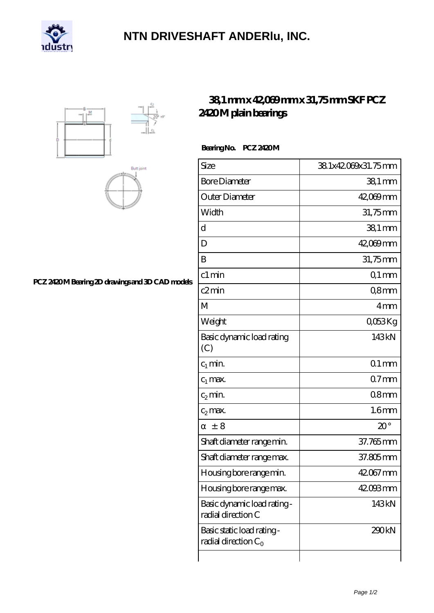

## **[NTN DRIVESHAFT ANDERlu, INC.](https://m.carib-link.com)**





## **[PCZ 2420 M Bearing 2D drawings and 3D CAD models](https://m.carib-link.com/pic-38885.html)**

## **[38,1 mm x 42,069 mm x 31,75 mm SKF PCZ](https://m.carib-link.com/af-38885-skf-pcz-2420-m-plain-bearings.html) [2420 M plain bearings](https://m.carib-link.com/af-38885-skf-pcz-2420-m-plain-bearings.html)**

Bearing No. PCZ 2420M

| Size                                                 | 381x42069x31.75mm   |
|------------------------------------------------------|---------------------|
| <b>Bore Diameter</b>                                 | $381 \,\mathrm{mm}$ |
| Outer Diameter                                       | 42,069mm            |
| Width                                                | 31,75mm             |
| d                                                    | $381 \,\mathrm{mm}$ |
| D                                                    | 42,069mm            |
| B                                                    | 31,75mm             |
| c1 min                                               | $Q1$ mm             |
| c2min                                                | Q8mm                |
| M                                                    | 4 <sub>mm</sub>     |
| Weight                                               | QO53Kg              |
| Basic dynamic load rating<br>(C)                     | 143kN               |
| $c_1$ min.                                           | $Q1$ mm             |
| $c_1$ max.                                           | $07$ mm             |
| $c_2$ min.                                           | 08 <sub>mm</sub>    |
| $c_2$ max.                                           | 1.6 <sub>mm</sub>   |
| ± 8                                                  | $20^{\circ}$        |
| Shaft diameter range min.                            | 37.765mm            |
| Shaft diameter range max.                            | 37.805mm            |
| Housing bore range min.                              | 42067 mm            |
| Housing bore range max.                              | 42.093mm            |
| Basic dynamic load rating -<br>radial direction C    | 143kN               |
| Basic static load rating -<br>radial direction $C_0$ | 290kN               |
|                                                      |                     |